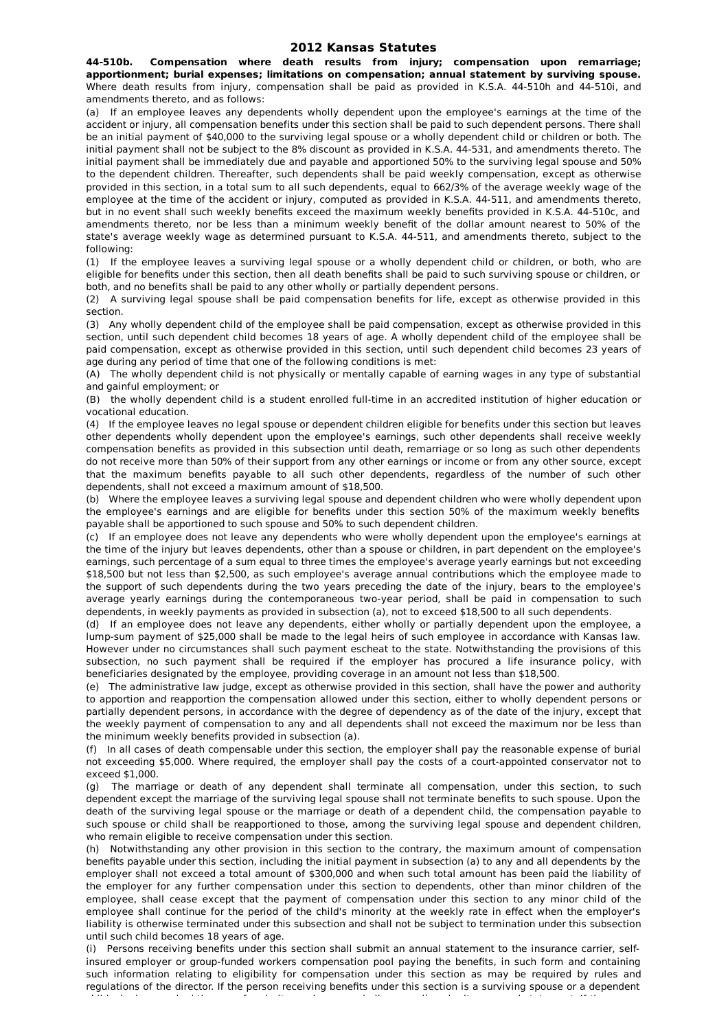**44-510b. Compensation where death results from injury; compensation upon remarriage; apportionment; burial expenses; limitations on compensation; annual statement by surviving spouse.** Where death results from injury, compensation shall be paid as provided in K.S.A. 44-510h and 44-510i, and amendments thereto, and as follows:

(a) If an employee leaves any dependents wholly dependent upon the employee's earnings at the time of the accident or injury, all compensation benefits under this section shall be paid to such dependent persons. There shall be an initial payment of \$40,000 to the surviving legal spouse or a wholly dependent child or children or both. The initial payment shall not be subject to the 8% discount as provided in K.S.A. 44-531, and amendments thereto. The initial payment shall be immediately due and payable and apportioned 50% to the surviving legal spouse and 50% to the dependent children. Thereafter, such dependents shall be paid weekly compensation, except as otherwise provided in this section, in a total sum to all such dependents, equal to 662/3% of the average weekly wage of the employee at the time of the accident or injury, computed as provided in K.S.A. 44-511, and amendments thereto, but in no event shall such weekly benefits exceed the maximum weekly benefits provided in K.S.A. 44-510c, and amendments thereto, nor be less than a minimum weekly benefit of the dollar amount nearest to 50% of the state's average weekly wage as determined pursuant to K.S.A. 44-511, and amendments thereto, subject to the following:

(1) If the employee leaves a surviving legal spouse or a wholly dependent child or children, or both, who are eligible for benefits under this section, then all death benefits shall be paid to such surviving spouse or children, or both, and no benefits shall be paid to any other wholly or partially dependent persons.

(2) A surviving legal spouse shall be paid compensation benefits for life, except as otherwise provided in this section.

(3) Any wholly dependent child of the employee shall be paid compensation, except as otherwise provided in this section, until such dependent child becomes 18 years of age. A wholly dependent child of the employee shall be paid compensation, except as otherwise provided in this section, until such dependent child becomes 23 years of age during any period of time that one of the following conditions is met:

(A) The wholly dependent child is not physically or mentally capable of earning wages in any type of substantial and gainful employment; or

(B) the wholly dependent child is a student enrolled full-time in an accredited institution of higher education or vocational education.

(4) If the employee leaves no legal spouse or dependent children eligible for benefits under this section but leaves other dependents wholly dependent upon the employee's earnings, such other dependents shall receive weekly compensation benefits as provided in this subsection until death, remarriage or so long as such other dependents do not receive more than 50% of their support from any other earnings or income or from any other source, except that the maximum benefits payable to all such other dependents, regardless of the number of such other dependents, shall not exceed a maximum amount of \$18,500.

(b) Where the employee leaves a surviving legal spouse and dependent children who were wholly dependent upon the employee's earnings and are eligible for benefits under this section 50% of the maximum weekly benefits payable shall be apportioned to such spouse and 50% to such dependent children.

(c) If an employee does not leave any dependents who were wholly dependent upon the employee's earnings at the time of the injury but leaves dependents, other than a spouse or children, in part dependent on the employee's earnings, such percentage of a sum equal to three times the employee's average yearly earnings but not exceeding \$18,500 but not less than \$2,500, as such employee's average annual contributions which the employee made to the support of such dependents during the two years preceding the date of the injury, bears to the employee's average yearly earnings during the contemporaneous two-year period, shall be paid in compensation to such dependents, in weekly payments as provided in subsection (a), not to exceed \$18,500 to all such dependents.

(d) If an employee does not leave any dependents, either wholly or partially dependent upon the employee, a lump-sum payment of \$25,000 shall be made to the legal heirs of such employee in accordance with Kansas law. However under no circumstances shall such payment escheat to the state. Notwithstanding the provisions of this subsection, no such payment shall be required if the employer has procured a life insurance policy, with beneficiaries designated by the employee, providing coverage in an amount not less than \$18,500.

(e) The administrative law judge, except as otherwise provided in this section, shall have the power and authority to apportion and reapportion the compensation allowed under this section, either to wholly dependent persons or partially dependent persons, in accordance with the degree of dependency as of the date of the injury, except that the weekly payment of compensation to any and all dependents shall not exceed the maximum nor be less than the minimum weekly benefits provided in subsection (a).

(f) In all cases of death compensable under this section, the employer shall pay the reasonable expense of burial not exceeding \$5,000. Where required, the employer shall pay the costs of a court-appointed conservator not to  $e$ xceed  $$1,000$ .

(g) The marriage or death of any dependent shall terminate all compensation, under this section, to such dependent except the marriage of the surviving legal spouse shall not terminate benefits to such spouse. Upon the death of the surviving legal spouse or the marriage or death of a dependent child, the compensation payable to such spouse or child shall be reapportioned to those, among the surviving legal spouse and dependent children, who remain eligible to receive compensation under this section.

(h) Notwithstanding any other provision in this section to the contrary, the maximum amount of compensation benefits payable under this section, including the initial payment in subsection (a) to any and all dependents by the employer shall not exceed a total amount of \$300,000 and when such total amount has been paid the liability of the employer for any further compensation under this section to dependents, other than minor children of the employee, shall cease except that the payment of compensation under this section to any minor child of the employee shall continue for the period of the child's minority at the weekly rate in effect when the employer's liability is otherwise terminated under this subsection and shall not be subject to termination under this subsection until such child becomes 18 years of age.

(i) Persons receiving benefits under this section shall submit an annual statement to the insurance carrier, selfinsured employer or group-funded workers compensation pool paying the benefits, in such form and containing such information relating to eligibility for compensation under this section as may be required by rules and regulations of the director. If the person receiving benefits under this section is a surviving spouse or a dependent child who has reached the age of majority, such person shall personally submit an annual statement. If the person